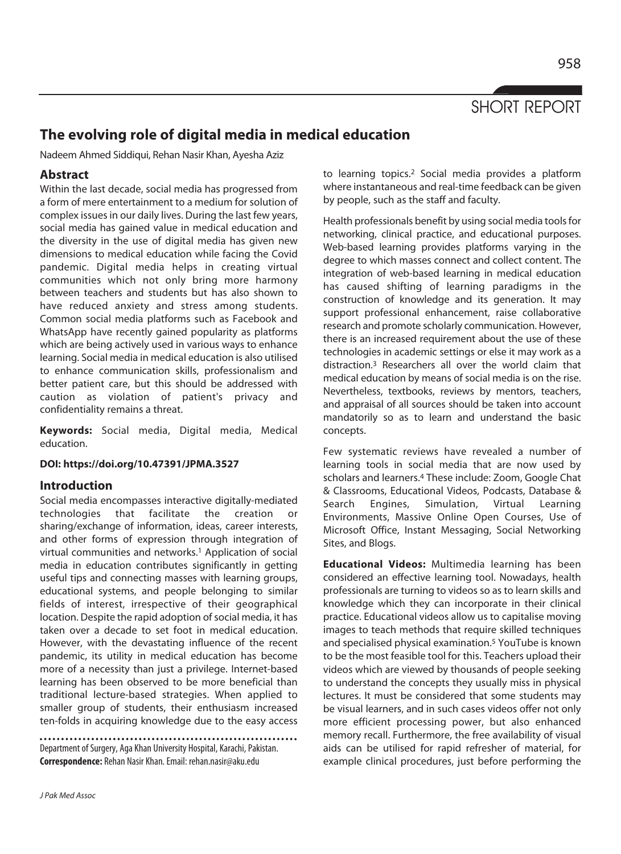SHORT REPORT

# **The evolving role of digital media in medical education**

Nadeem Ahmed Siddiqui, Rehan Nasir Khan, Ayesha Aziz

## **Abstract**

Within the last decade, social media has progressed from a form of mere entertainment to a medium for solution of complex issues in our daily lives. During the last few years, social media has gained value in medical education and the diversity in the use of digital media has given new dimensions to medical education while facing the Covid pandemic. Digital media helps in creating virtual communities which not only bring more harmony between teachers and students but has also shown to have reduced anxiety and stress among students. Common social media platforms such as Facebook and WhatsApp have recently gained popularity as platforms which are being actively used in various ways to enhance learning. Social media in medical education is also utilised to enhance communication skills, professionalism and better patient care, but this should be addressed with caution as violation of patient's privacy and confidentiality remains a threat.

**Keywords:** Social media, Digital media, Medical education.

#### **DOI: https://doi.org/10.47391/JPMA.3527**

### **Introduction**

Social media encompasses interactive digitally-mediated technologies that facilitate the creation or sharing/exchange of information, ideas, career interests, and other forms of expression through integration of virtual communities and networks.1 Application of social media in education contributes significantly in getting useful tips and connecting masses with learning groups, educational systems, and people belonging to similar fields of interest, irrespective of their geographical location. Despite the rapid adoption of social media, it has taken over a decade to set foot in medical education. However, with the devastating influence of the recent pandemic, its utility in medical education has become more of a necessity than just a privilege. Internet-based learning has been observed to be more beneficial than traditional lecture-based strategies. When applied to smaller group of students, their enthusiasm increased ten-folds in acquiring knowledge due to the easy access

Department of Surgery, Aga Khan University Hospital, Karachi, Pakistan. **Correspondence:** Rehan Nasir Khan. Email: rehan.nasir@aku.edu

to learning topics.2 Social media provides a platform where instantaneous and real-time feedback can be given by people, such as the staff and faculty.

Health professionals benefit by using social media tools for networking, clinical practice, and educational purposes. Web-based learning provides platforms varying in the degree to which masses connect and collect content. The integration of web-based learning in medical education has caused shifting of learning paradigms in the construction of knowledge and its generation. It may support professional enhancement, raise collaborative research and promote scholarly communication. However, there is an increased requirement about the use of these technologies in academic settings or else it may work as a distraction.3 Researchers all over the world claim that medical education by means of social media is on the rise. Nevertheless, textbooks, reviews by mentors, teachers, and appraisal of all sources should be taken into account mandatorily so as to learn and understand the basic concepts.

Few systematic reviews have revealed a number of learning tools in social media that are now used by scholars and learners.4 These include: Zoom, Google Chat & Classrooms, Educational Videos, Podcasts, Database & Search Engines, Simulation, Virtual Learning Environments, Massive Online Open Courses, Use of Microsoft Office, Instant Messaging, Social Networking Sites, and Blogs.

**Educational Videos:** Multimedia learning has been considered an effective learning tool. Nowadays, health professionals are turning to videos so as to learn skills and knowledge which they can incorporate in their clinical practice. Educational videos allow us to capitalise moving images to teach methods that require skilled techniques and specialised physical examination.5 YouTube is known to be the most feasible tool for this. Teachers upload their videos which are viewed by thousands of people seeking to understand the concepts they usually miss in physical lectures. It must be considered that some students may be visual learners, and in such cases videos offer not only more efficient processing power, but also enhanced memory recall. Furthermore, the free availability of visual aids can be utilised for rapid refresher of material, for example clinical procedures, just before performing the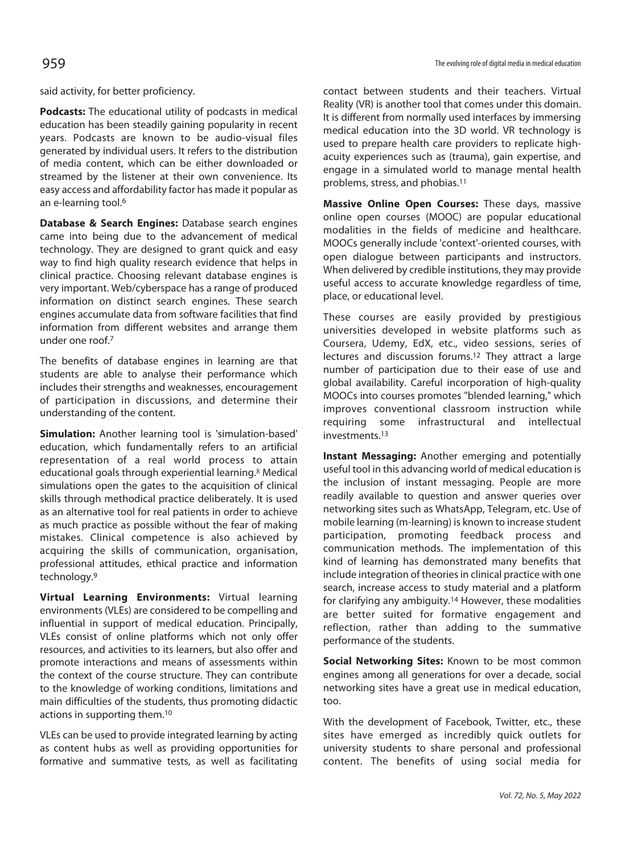said activity, for better proficiency.

**Podcasts:** The educational utility of podcasts in medical education has been steadily gaining popularity in recent years. Podcasts are known to be audio-visual files generated by individual users. It refers to the distribution of media content, which can be either downloaded or streamed by the listener at their own convenience. Its easy access and affordability factor has made it popular as an e-learning tool.<sup>6</sup>

**Database & Search Engines:** Database search engines came into being due to the advancement of medical technology. They are designed to grant quick and easy way to find high quality research evidence that helps in clinical practice. Choosing relevant database engines is very important. Web/cyberspace has a range of produced information on distinct search engines. These search engines accumulate data from software facilities that find information from different websites and arrange them under one roof.7

The benefits of database engines in learning are that students are able to analyse their performance which includes their strengths and weaknesses, encouragement of participation in discussions, and determine their understanding of the content.

**Simulation:** Another learning tool is 'simulation-based' education, which fundamentally refers to an artificial representation of a real world process to attain educational goals through experiential learning.<sup>8</sup> Medical simulations open the gates to the acquisition of clinical skills through methodical practice deliberately. It is used as an alternative tool for real patients in order to achieve as much practice as possible without the fear of making mistakes. Clinical competence is also achieved by acquiring the skills of communication, organisation, professional attitudes, ethical practice and information technology.9

**Virtual Learning Environments:** Virtual learning environments (VLEs) are considered to be compelling and influential in support of medical education. Principally, VLEs consist of online platforms which not only offer resources, and activities to its learners, but also offer and promote interactions and means of assessments within the context of the course structure. They can contribute to the knowledge of working conditions, limitations and main difficulties of the students, thus promoting didactic actions in supporting them.10

VLEs can be used to provide integrated learning by acting as content hubs as well as providing opportunities for formative and summative tests, as well as facilitating

contact between students and their teachers. Virtual Reality (VR) is another tool that comes under this domain. It is different from normally used interfaces by immersing medical education into the 3D world. VR technology is used to prepare health care providers to replicate highacuity experiences such as (trauma), gain expertise, and engage in a simulated world to manage mental health problems, stress, and phobias.11

**Massive Online Open Courses:** These days, massive online open courses (MOOC) are popular educational modalities in the fields of medicine and healthcare. MOOCs generally include 'context'-oriented courses, with open dialogue between participants and instructors. When delivered by credible institutions, they may provide useful access to accurate knowledge regardless of time, place, or educational level.

These courses are easily provided by prestigious universities developed in website platforms such as Coursera, Udemy, EdX, etc., video sessions, series of lectures and discussion forums.12 They attract a large number of participation due to their ease of use and global availability. Careful incorporation of high-quality MOOCs into courses promotes "blended learning," which improves conventional classroom instruction while requiring some infrastructural and intellectual investments.13

**Instant Messaging:** Another emerging and potentially useful tool in this advancing world of medical education is the inclusion of instant messaging. People are more readily available to question and answer queries over networking sites such as WhatsApp, Telegram, etc. Use of mobile learning (m-learning) is known to increase student participation, promoting feedback process and communication methods. The implementation of this kind of learning has demonstrated many benefits that include integration of theories in clinical practice with one search, increase access to study material and a platform for clarifying any ambiguity.14 However, these modalities are better suited for formative engagement and reflection, rather than adding to the summative performance of the students.

**Social Networking Sites:** Known to be most common engines among all generations for over a decade, social networking sites have a great use in medical education, too.

With the development of Facebook, Twitter, etc., these sites have emerged as incredibly quick outlets for university students to share personal and professional content. The benefits of using social media for